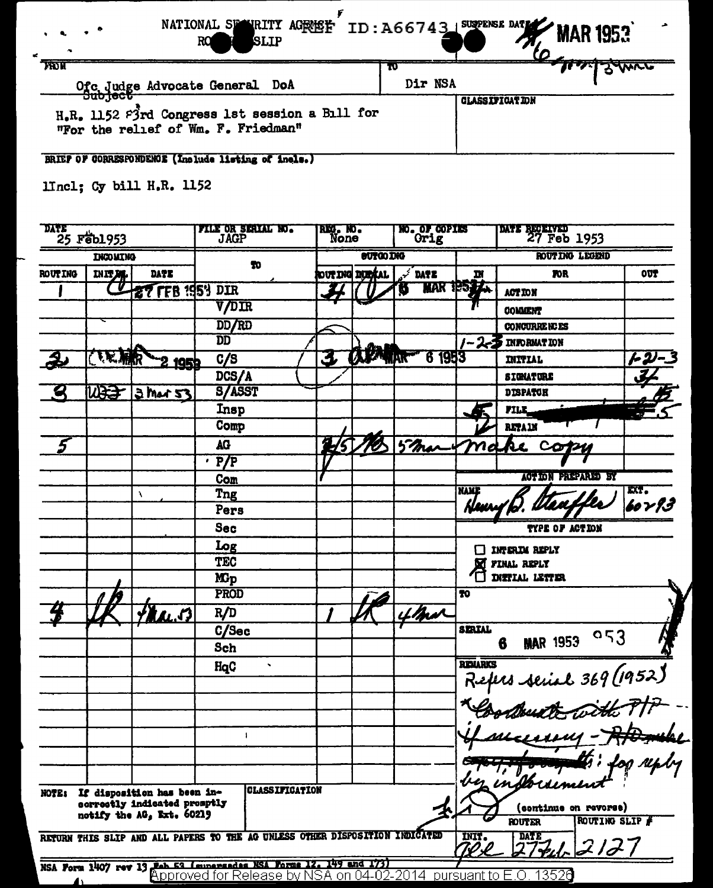| <b>A</b> SLIP<br>RQ<br>$\sim$                                                                   | NATIONAL SPANELTY AGREET ID: A66743 SUPPENSE DATE MAR 1953 |  |
|-------------------------------------------------------------------------------------------------|------------------------------------------------------------|--|
| <b>TRON</b><br>Ofc Judge Advocate General DoA                                                   | Dir NSA                                                    |  |
| ᠊ᠣᡂᡣᡂᠣ<br>H.R. 1152 P3rd Congress 1st session a Bill for<br>"For the relief of Wm. F. Friedman" | <b>GLASSIFICATION</b>                                      |  |

BRIEF OF CORRESPONDENCE (Include listing of inels.)

lincl; Cy bill H.R. 1152

|                 | <b>DATE</b><br>$25$ $r$ $\neq$ $0.953$ |                                                           | <b>FILE OR SERIAL NO.</b><br><b>JAGP</b>                                     |                       | NO. OF COPIES<br>RIG. NO.<br>Orig<br>None |                  |             | DATE RECEIVED 27 Feb 1953 |                                                     |                        |  |
|-----------------|----------------------------------------|-----------------------------------------------------------|------------------------------------------------------------------------------|-----------------------|-------------------------------------------|------------------|-------------|---------------------------|-----------------------------------------------------|------------------------|--|
| <b>INCOMING</b> |                                        |                                                           |                                                                              |                       |                                           | <b>OUTGO ING</b> |             | ROUTING LEGEND            |                                                     |                        |  |
| <b>ROUTING</b>  | $rac{\text{min}}{\text{min}}$          | <b>DATE</b>                                               | TO.                                                                          |                       |                                           | out ing inital   | <b>DATE</b> | IN                        | mr                                                  | OUT                    |  |
|                 |                                        | <b>27 FFB 1954 DIR</b>                                    |                                                                              |                       |                                           |                  | A           | MAR 1953                  | <b>ACT ION</b>                                      |                        |  |
|                 |                                        |                                                           | <b>V/DIR</b>                                                                 |                       |                                           |                  |             |                           | COMMENT                                             |                        |  |
|                 |                                        |                                                           | <b>DD/RD</b>                                                                 |                       |                                           |                  |             |                           | CONCURRENCES                                        |                        |  |
|                 |                                        |                                                           | $\overline{\mathbf{D}}\overline{\mathbf{D}}$                                 |                       |                                           |                  |             |                           | $/$ - 2- $\overline{3}$ information                 |                        |  |
|                 | <b>TRANR</b>                           | <u>195t</u>                                               | C/S                                                                          |                       | 3                                         | <b>APART</b>     | 6 1953      |                           | INITIAL                                             |                        |  |
|                 |                                        |                                                           | DCS/A                                                                        |                       |                                           |                  |             |                           | <b>SIGNATURE</b>                                    |                        |  |
|                 | <b>MASA</b>                            | 3 Mar 53                                                  | <b>S/ASST</b>                                                                |                       |                                           |                  |             |                           | <b>DISPATCH</b>                                     |                        |  |
|                 |                                        |                                                           | Insp                                                                         |                       |                                           |                  |             |                           | <b>FILE</b>                                         |                        |  |
|                 |                                        |                                                           | Comp                                                                         |                       |                                           |                  |             |                           | <b>RETAIN</b>                                       |                        |  |
|                 |                                        |                                                           | AG                                                                           |                       | 2/5                                       |                  | 5 mars      | ma                        | Re                                                  |                        |  |
|                 |                                        |                                                           | $\overline{P/P}$                                                             |                       |                                           |                  |             |                           |                                                     |                        |  |
|                 |                                        |                                                           | Com                                                                          |                       |                                           |                  |             |                           | <b>ACTION PREPARED BY</b>                           |                        |  |
|                 |                                        | ١                                                         | Tng                                                                          |                       |                                           |                  |             | <b>NAME</b>               |                                                     | EXT.<br><b>60 Y 93</b> |  |
|                 |                                        |                                                           | Pers                                                                         |                       |                                           |                  |             |                           |                                                     |                        |  |
|                 |                                        |                                                           | <b>Sec</b>                                                                   |                       |                                           |                  |             |                           | TYPE OF ACTION                                      |                        |  |
|                 |                                        |                                                           | Log                                                                          |                       |                                           |                  |             |                           | <b>INTERIM REPLY</b>                                |                        |  |
|                 |                                        |                                                           | <b>TEC</b>                                                                   |                       |                                           |                  |             | м                         | FINAL REPLY                                         |                        |  |
|                 |                                        |                                                           | <b>M</b> <sub>p</sub>                                                        |                       |                                           |                  |             |                           | <b>INSTIAL LETTER</b>                               |                        |  |
|                 |                                        |                                                           | PROD                                                                         |                       |                                           |                  |             | 70                        |                                                     |                        |  |
|                 |                                        | Fra.53                                                    | R/D                                                                          |                       |                                           |                  | 4 mar       |                           |                                                     |                        |  |
|                 |                                        |                                                           | C/Sec                                                                        |                       |                                           |                  |             | <b>SERIAL</b>             | 0.53<br><b>MAR 1953</b>                             |                        |  |
|                 |                                        |                                                           | <b>Sch</b>                                                                   |                       |                                           |                  |             |                           | 6                                                   |                        |  |
|                 |                                        |                                                           | HqC<br>$\blacktriangledown$                                                  |                       |                                           |                  |             | <b>REILARKS</b>           |                                                     |                        |  |
|                 |                                        |                                                           |                                                                              |                       |                                           |                  |             |                           |                                                     |                        |  |
|                 |                                        |                                                           |                                                                              |                       |                                           |                  |             |                           |                                                     |                        |  |
|                 |                                        |                                                           |                                                                              |                       |                                           |                  |             |                           |                                                     |                        |  |
|                 |                                        |                                                           | ۰                                                                            |                       |                                           |                  |             |                           | Refus seriel 369 (1952)<br>Républikation ditter 7/7 |                        |  |
|                 |                                        |                                                           |                                                                              |                       |                                           |                  |             |                           |                                                     |                        |  |
|                 |                                        |                                                           |                                                                              |                       |                                           |                  |             |                           |                                                     | for reply              |  |
| NOTE:           |                                        | If disposition has been in-                               |                                                                              | <b>CLASSIFICATION</b> |                                           |                  |             |                           | 2 indberumen                                        |                        |  |
|                 |                                        | correctly indicated promptly<br>notify the AG, Ext. 60219 |                                                                              |                       |                                           |                  |             |                           | (continue on revorse)                               |                        |  |
|                 |                                        |                                                           |                                                                              |                       |                                           |                  |             |                           | ROUTING SLIP #<br><b>ROUTER</b>                     |                        |  |
|                 |                                        |                                                           | RETURN THIS SLIP AND ALL PAPERS TO THE AG UNLESS OTHER DISPOSITION INDICATED |                       |                                           |                  |             | <b>INIT.</b><br>70.P      | <b>DATE</b><br>212                                  |                        |  |
|                 |                                        |                                                           | NSA Form 1407 rev 13 Peb 53 Imperenden NSA Forms 12. 149 and 1731            |                       |                                           |                  |             |                           | <u>pursuant to E.O. 13526</u>                       |                        |  |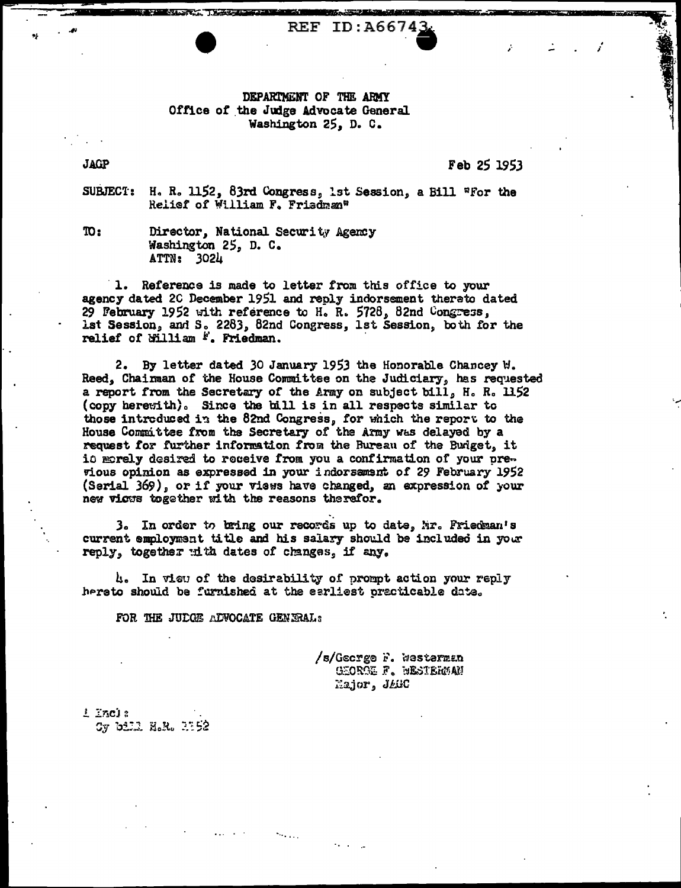## DEPARTMENT OF THE ARMY Office of the Judge Advocate General Washington 25, D. C.

**REF ID:A66743** 

**JAGP** 

Feb 25 1953

H. R. 1152, 83rd Congress, 1st Session, a Bill "For the SUBJECT: Relief of William F. Friedman"

 $\mathbf{m}$ :

Director, National Security Agency Washington 25, D. C. ATTN: 3024

1. Reference is made to letter from this office to your agency dated 2C December 1951 and reply indorsement therato dated 29 February 1952 with reference to H. R. 5728, 82nd Congress, ist Session, and S. 2283, 82nd Congress, 1st Session, both for the relief of billiam  $k$ . Friedman.

2. By letter dated 30 January 1953 the Honorable Chancey W. Reed, Chairman of the House Committee on the Judiciary, has requested a report from the Secretary of the Army on subject bill, H. R. 1152 (copy herewith). Since the bill is in all respects similar to those introduced in the 82nd Congress, for which the report to the House Committee from the Secretary of the Army was delayed by a request for further information from the Bureau of the Budget, it id morely desired to receive from you a confirmation of your previous opinion as expressed in your indorsament of 29 February 1952 (Serial 369), or if your views have changed, an expression of your new vicus together with the reasons therefor.

3. In order to bring our records up to date, Mr. Friedman's current employment title and his salary should be included in your reply, together with dates of changes, if any.

4. In view of the desirability of prompt action your reply hereto should be furnished at the earliest practicable date.

FOR THE JUDGE ADVOCATE GENERAL:

/s/George F. Westerman GEOROE F. WESTERMAN Major, JAGC

 $L$   $ZAC1$  : Cy bill H.R. 1152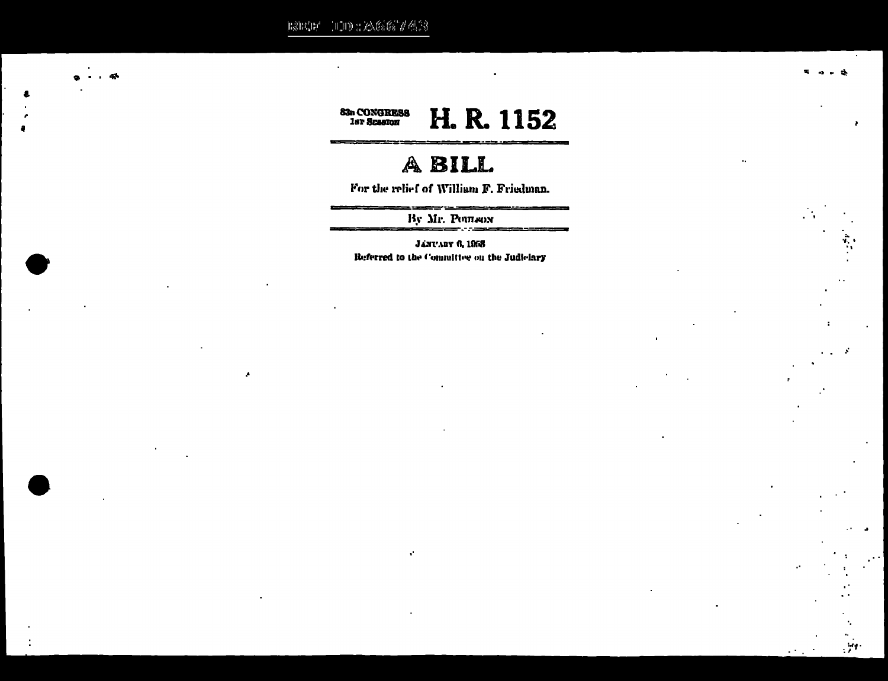${\rm E}({\rm E}({\rm D}^*)\cup{\rm D}({\rm D}^*)\otimes{\rm E}({\rm E}({\rm D}^*)\otimes{\rm D}({\rm D}^*){\rm D})$ 

×



## A BILL

For the relief of William F. Friedman.

----

 $\mathbf{r}$ 

 $\mathcal{A}$ 

 $\sim$   $^{\circ}$ 

By Mr. POUTHON

**JANUARY 6, 1958** Referred to the Committee on the Judiciary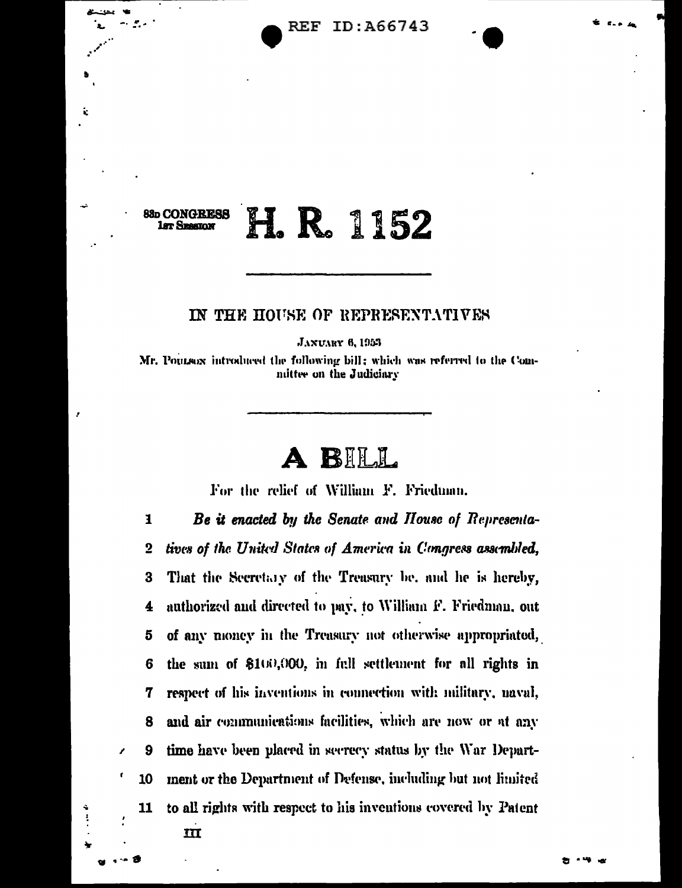## **88p CONGRESS** I. R. 1152 **1st Seasion**

## IN THE HOUSE OF REPRESENTATIVES

**JANUARY 6, 1953** 

Mr. Poursox introduced the following bill; which was referred to the Committee on the Judiciary



For the relief of William F. Friedman.

Be it enacted by the Senate and House of Representa- $\mathbf{I}$ tives of the United States of America in Congress assembled,  $\overline{2}$ That the Secretary of the Treasury be, and he is hereby, 3 authorized and directed to pay, to William F. Friedman, out 4 of any money in the Treasury not otherwise appropriated, 5 the sum of \$100,000, in full settlement for all rights in 6 respect of his inventions in connection with military, naval, 7 and air communications facilities, which are now or at any 8 9 time have been placed in secrecy status by the War Department or the Department of Defense, including but not limited 10 to all rights with respect to his inventions covered by Patent 11  $\mathbf{m}$